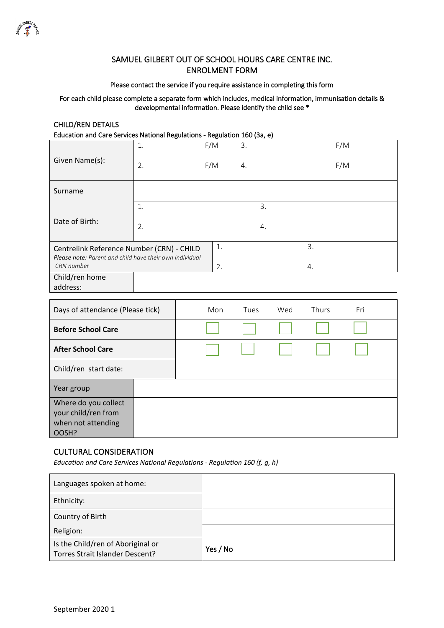

### SAMUEL GILBERT OUT OF SCHOOL HOURS CARE CENTRE INC. ENROLMENT FORM

#### Please contact the service if you require assistance in completing this form

#### For each child please complete a separate form which includes, medical information, immunisation details & developmental information. Please identify the child see \*

### CHILD/REN DETAILS

Education and Care Services National Regulations - Regulation 160 (3a, e)

|                                                                       | 1. | F/M | 3. |    |    | F/M |
|-----------------------------------------------------------------------|----|-----|----|----|----|-----|
| Given Name(s):                                                        | 2. | F/M | 4. |    |    | F/M |
| Surname                                                               |    |     |    |    |    |     |
|                                                                       | 1. |     |    | 3. |    |     |
| Date of Birth:                                                        | 2. |     |    | 4. |    |     |
| Centrelink Reference Number (CRN) - CHILD                             |    | 1.  |    |    | 3. |     |
| Please note: Parent and child have their own individual<br>CRN number |    | 2.  |    |    | 4. |     |
| Child/ren home<br>address:                                            |    |     |    |    |    |     |

| Days of attendance (Please tick)                                           |  | Mon | Tues | Wed | <b>Thurs</b> | Fri |
|----------------------------------------------------------------------------|--|-----|------|-----|--------------|-----|
| <b>Before School Care</b>                                                  |  |     |      |     |              |     |
| <b>After School Care</b>                                                   |  |     |      |     |              |     |
| Child/ren start date:                                                      |  |     |      |     |              |     |
| Year group                                                                 |  |     |      |     |              |     |
| Where do you collect<br>your child/ren from<br>when not attending<br>OOSH? |  |     |      |     |              |     |

### CULTURAL CONSIDERATION

*Education and Care Services National Regulations - Regulation 160 (f, g, h)*

| Languages spoken at home:                                            |          |
|----------------------------------------------------------------------|----------|
| Ethnicity:                                                           |          |
| Country of Birth                                                     |          |
| Religion:                                                            |          |
| Is the Child/ren of Aboriginal or<br>Torres Strait Islander Descent? | Yes / No |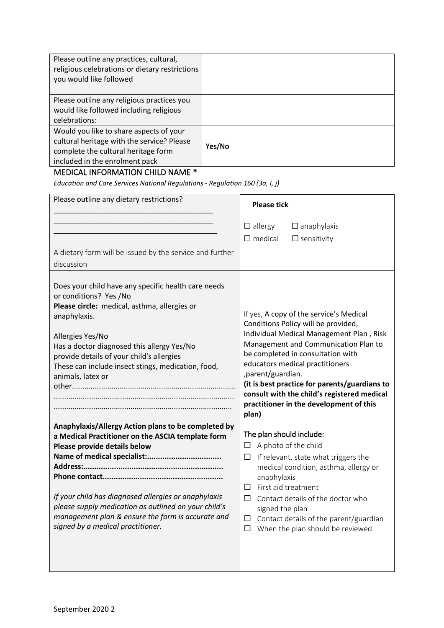| Please outline any practices, cultural,<br>religious celebrations or dietary restrictions<br>you would like followed                                           |        |
|----------------------------------------------------------------------------------------------------------------------------------------------------------------|--------|
| Please outline any religious practices you<br>would like followed including religious<br>celebrations:                                                         |        |
| Would you like to share aspects of your<br>cultural heritage with the service? Please<br>complete the cultural heritage form<br>included in the enrolment pack | Yes/No |

# MEDICAL INFORMATION CHILD NAME \*

*Education and Care Services National Regulations - Regulation 160 (3a, I, j)*

| Please outline any dietary restrictions?                                                                                                                                                                                                                                                                                                           | <b>Please tick</b>                                                                                                                                                                                                                                                                                                                                                                                                  |  |  |
|----------------------------------------------------------------------------------------------------------------------------------------------------------------------------------------------------------------------------------------------------------------------------------------------------------------------------------------------------|---------------------------------------------------------------------------------------------------------------------------------------------------------------------------------------------------------------------------------------------------------------------------------------------------------------------------------------------------------------------------------------------------------------------|--|--|
| A dietary form will be issued by the service and further<br>discussion                                                                                                                                                                                                                                                                             | $\Box$ allergy<br>$\Box$ anaphylaxis<br>$\Box$ medical<br>$\Box$ sensitivity                                                                                                                                                                                                                                                                                                                                        |  |  |
| Does your child have any specific health care needs<br>or conditions? Yes /No<br>Please circle: medical, asthma, allergies or<br>anaphylaxis.<br>Allergies Yes/No<br>Has a doctor diagnosed this allergy Yes/No<br>provide details of your child's allergies<br>These can include insect stings, medication, food,<br>animals, latex or            | If yes, A copy of the service's Medical<br>Conditions Policy will be provided,<br>Individual Medical Management Plan, Risk<br>Management and Communication Plan to<br>be completed in consultation with<br>educators medical practitioners<br>,parent/guardian.<br>(it is best practice for parents/guardians to<br>consult with the child's registered medical<br>practitioner in the development of this<br>plan) |  |  |
| Anaphylaxis/Allergy Action plans to be completed by<br>a Medical Practitioner on the ASCIA template form<br>Please provide details below<br>If your child has diagnosed allergies or anaphylaxis<br>please supply medication as outlined on your child's<br>management plan & ensure the form is accurate and<br>signed by a medical practitioner. | The plan should include:<br>$\Box$ A photo of the child<br>If relevant, state what triggers the<br>□<br>medical condition, asthma, allergy or<br>anaphylaxis<br>First aid treatment<br>$\Box$<br>Contact details of the doctor who<br>П.<br>signed the plan<br>Contact details of the parent/guardian<br>$\Box$<br>When the plan should be reviewed.<br>$\Box$                                                      |  |  |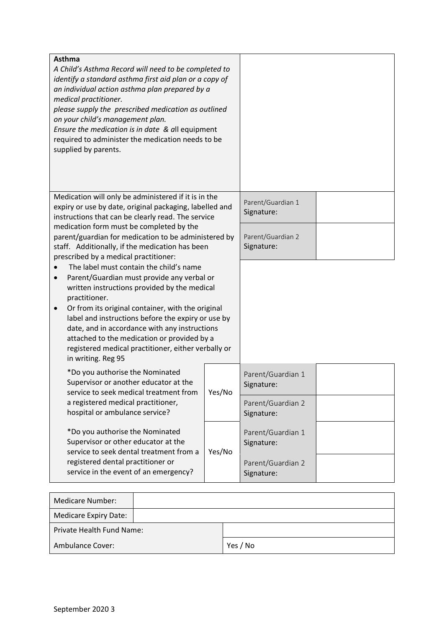| <b>Asthma</b><br>A Child's Asthma Record will need to be completed to<br>identify a standard asthma first aid plan or a copy of<br>an individual action asthma plan prepared by a<br>medical practitioner.<br>please supply the prescribed medication as outlined<br>on your child's management plan.<br>Ensure the medication is in date & all equipment<br>required to administer the medication needs to be<br>supplied by parents.                                                               |        |                                                                    |  |
|------------------------------------------------------------------------------------------------------------------------------------------------------------------------------------------------------------------------------------------------------------------------------------------------------------------------------------------------------------------------------------------------------------------------------------------------------------------------------------------------------|--------|--------------------------------------------------------------------|--|
| Medication will only be administered if it is in the<br>expiry or use by date, original packaging, labelled and<br>instructions that can be clearly read. The service<br>medication form must be completed by the<br>parent/guardian for medication to be administered by<br>staff. Additionally, if the medication has been                                                                                                                                                                         |        | Parent/Guardian 1<br>Signature:<br>Parent/Guardian 2<br>Signature: |  |
| prescribed by a medical practitioner:<br>The label must contain the child's name<br>Parent/Guardian must provide any verbal or<br>written instructions provided by the medical<br>practitioner.<br>Or from its original container, with the original<br>$\bullet$<br>label and instructions before the expiry or use by<br>date, and in accordance with any instructions<br>attached to the medication or provided by a<br>registered medical practitioner, either verbally or<br>in writing. Reg 95 |        |                                                                    |  |
| *Do you authorise the Nominated<br>Supervisor or another educator at the<br>service to seek medical treatment from<br>a registered medical practitioner,<br>hospital or ambulance service?                                                                                                                                                                                                                                                                                                           | Yes/No | Parent/Guardian 1<br>Signature:<br>Parent/Guardian 2<br>Signature: |  |
| *Do you authorise the Nominated<br>Supervisor or other educator at the<br>service to seek dental treatment from a<br>registered dental practitioner or<br>service in the event of an emergency?                                                                                                                                                                                                                                                                                                      | Yes/No | Parent/Guardian 1<br>Signature:<br>Parent/Guardian 2<br>Signature: |  |

| Medicare Number:             |          |
|------------------------------|----------|
| <b>Medicare Expiry Date:</b> |          |
| Private Health Fund Name:    |          |
| <b>Ambulance Cover:</b>      | Yes / No |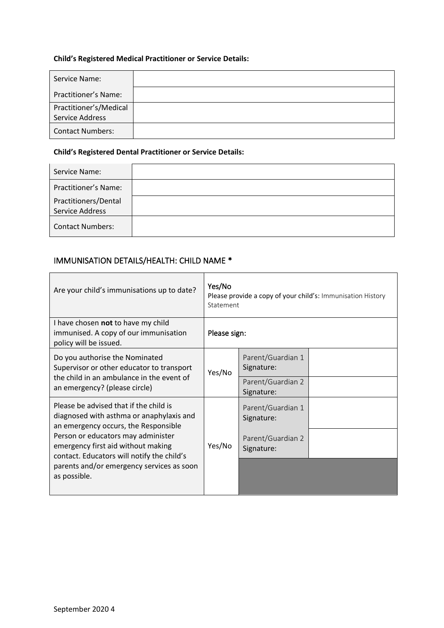### **Child's Registered Medical Practitioner or Service Details:**

| Service Name:               |  |
|-----------------------------|--|
| <b>Practitioner's Name:</b> |  |
| Practitioner's/Medical      |  |
| Service Address             |  |
| <b>Contact Numbers:</b>     |  |

### **Child's Registered Dental Practitioner or Service Details:**

| Service Name:                           |  |
|-----------------------------------------|--|
| Practitioner's Name:                    |  |
| Practitioners/Dental<br>Service Address |  |
| <b>Contact Numbers:</b>                 |  |

۰

## IMMUNISATION DETAILS/HEALTH: CHILD NAME \*

| Are your child's immunisations up to date?                                                                                                                | Yes/No<br>Please provide a copy of your child's: Immunisation History<br>Statement |                                 |  |
|-----------------------------------------------------------------------------------------------------------------------------------------------------------|------------------------------------------------------------------------------------|---------------------------------|--|
| I have chosen not to have my child<br>immunised. A copy of our immunisation<br>policy will be issued.                                                     | Please sign:                                                                       |                                 |  |
| Do you authorise the Nominated<br>Supervisor or other educator to transport<br>the child in an ambulance in the event of<br>an emergency? (please circle) | Yes/No                                                                             | Parent/Guardian 1<br>Signature: |  |
|                                                                                                                                                           |                                                                                    | Parent/Guardian 2<br>Signature: |  |
| Please be advised that if the child is<br>diagnosed with asthma or anaphylaxis and<br>an emergency occurs, the Responsible                                | Yes/No                                                                             | Parent/Guardian 1<br>Signature: |  |
| Person or educators may administer<br>emergency first aid without making<br>contact. Educators will notify the child's                                    |                                                                                    | Parent/Guardian 2<br>Signature: |  |
| parents and/or emergency services as soon<br>as possible.                                                                                                 |                                                                                    |                                 |  |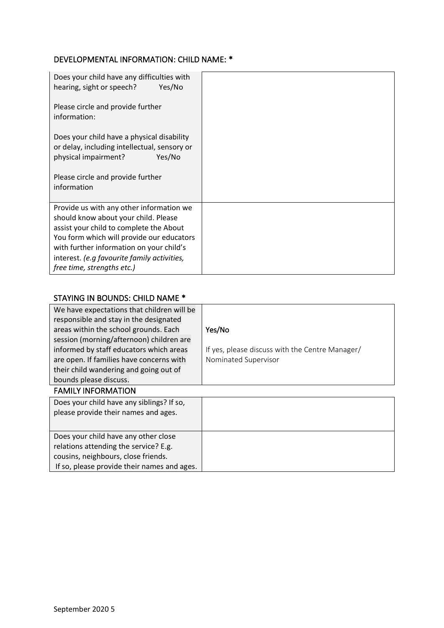# DEVELOPMENTAL INFORMATION: CHILD NAME: \*

| Does your child have any difficulties with<br>hearing, sight or speech?<br>Yes/No                                            |  |
|------------------------------------------------------------------------------------------------------------------------------|--|
| Please circle and provide further<br>information:                                                                            |  |
| Does your child have a physical disability<br>or delay, including intellectual, sensory or<br>physical impairment?<br>Yes/No |  |
| Please circle and provide further<br>information                                                                             |  |
| Provide us with any other information we<br>should know about your child. Please                                             |  |
| assist your child to complete the About                                                                                      |  |
| You form which will provide our educators                                                                                    |  |
| with further information on your child's                                                                                     |  |
| interest. (e.g favourite family activities,                                                                                  |  |
| free time, strengths etc.)                                                                                                   |  |

# STAYING IN BOUNDS: CHILD NAME \*

| We have expectations that children will be<br>responsible and stay in the designated |                                                 |
|--------------------------------------------------------------------------------------|-------------------------------------------------|
| areas within the school grounds. Each                                                | Yes/No                                          |
| session (morning/afternoon) children are                                             |                                                 |
| informed by staff educators which areas                                              | If yes, please discuss with the Centre Manager/ |
| are open. If families have concerns with                                             | Nominated Supervisor                            |
| their child wandering and going out of                                               |                                                 |
| bounds please discuss.                                                               |                                                 |
| <b>FAMILY INFORMATION</b>                                                            |                                                 |
| Does your child have any siblings? If so,                                            |                                                 |
| please provide their names and ages.                                                 |                                                 |
|                                                                                      |                                                 |
| Does your child have any other close                                                 |                                                 |
| relations attending the service? E.g.                                                |                                                 |
| cousins, neighbours, close friends.                                                  |                                                 |
| If so, please provide their names and ages.                                          |                                                 |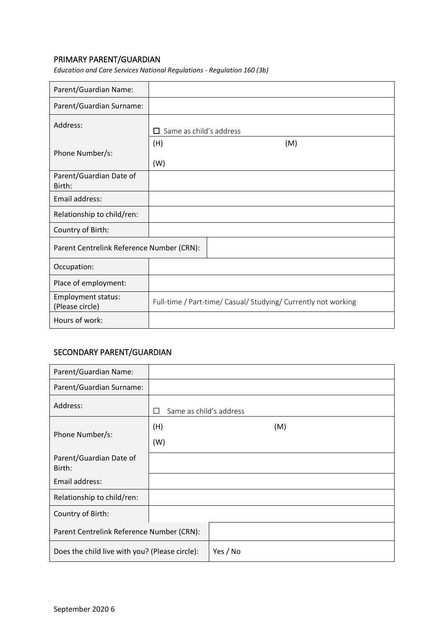## PRIMARY PARENT/GUARDIAN

| Parent/Guardian Name:                        |                                |                                                                |
|----------------------------------------------|--------------------------------|----------------------------------------------------------------|
| Parent/Guardian Surname:                     |                                |                                                                |
| Address:                                     | $\Box$ Same as child's address |                                                                |
| Phone Number/s:                              | (H)<br>(W)                     | (M)                                                            |
| Parent/Guardian Date of<br>Birth:            |                                |                                                                |
| Email address:                               |                                |                                                                |
| Relationship to child/ren:                   |                                |                                                                |
| Country of Birth:                            |                                |                                                                |
| Parent Centrelink Reference Number (CRN):    |                                |                                                                |
| Occupation:                                  |                                |                                                                |
| Place of employment:                         |                                |                                                                |
| <b>Employment status:</b><br>(Please circle) |                                | Full-time / Part-time/ Casual/ Studying/ Currently not working |
| Hours of work:                               |                                |                                                                |

*Education and Care Services National Regulations - Regulation 160 (3b)*

## SECONDARY PARENT/GUARDIAN

| Parent/Guardian Name:                          |               |                         |  |  |  |
|------------------------------------------------|---------------|-------------------------|--|--|--|
| Parent/Guardian Surname:                       |               |                         |  |  |  |
| Address:                                       | $\mathcal{L}$ | Same as child's address |  |  |  |
|                                                | (H)           | (M)                     |  |  |  |
| Phone Number/s:                                | (W)           |                         |  |  |  |
| Parent/Guardian Date of<br>Birth:              |               |                         |  |  |  |
| Email address:                                 |               |                         |  |  |  |
| Relationship to child/ren:                     |               |                         |  |  |  |
| Country of Birth:                              |               |                         |  |  |  |
| Parent Centrelink Reference Number (CRN):      |               |                         |  |  |  |
| Does the child live with you? (Please circle): |               | Yes / No                |  |  |  |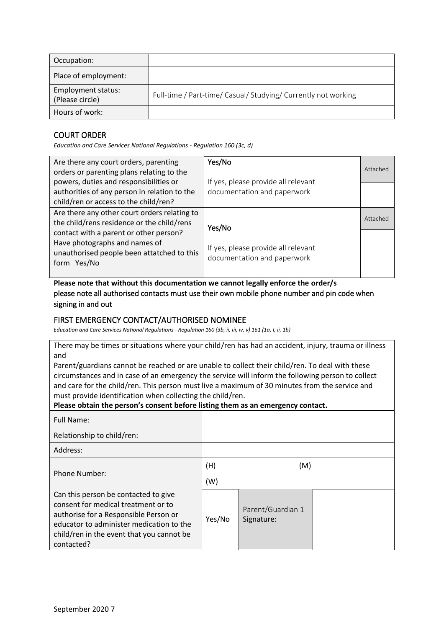| Occupation:                           |                                                                |
|---------------------------------------|----------------------------------------------------------------|
| Place of employment:                  |                                                                |
| Employment status:<br>(Please circle) | Full-time / Part-time/ Casual/ Studying/ Currently not working |
| Hours of work:                        |                                                                |

## COURT ORDER

*Education and Care Services National Regulations - Regulation 160 (3c, d)*

| Are there any court orders, parenting<br>orders or parenting plans relating to the                                                                                                                                                 | Yes/No                                                                       | Attached |
|------------------------------------------------------------------------------------------------------------------------------------------------------------------------------------------------------------------------------------|------------------------------------------------------------------------------|----------|
| powers, duties and responsibilities or<br>authorities of any person in relation to the<br>child/ren or access to the child/ren?                                                                                                    | If yes, please provide all relevant<br>documentation and paperwork           |          |
| Are there any other court orders relating to<br>the child/rens residence or the child/rens<br>contact with a parent or other person?<br>Have photographs and names of<br>unauthorised people been attatched to this<br>form Yes/No | Yes/No<br>If yes, please provide all relevant<br>documentation and paperwork | Attached |

**Please note that without this documentation we cannot legally enforce the order/s** please note all authorised contacts must use their own mobile phone number and pin code when signing in and out

### FIRST EMERGENCY CONTACT/AUTHORISED NOMINEE

*Education and Care Services National Regulations - Regulation 160 (3b, ii, iii, iv, v) 161 (1a, I, ii, 1b)*

There may be times or situations where your child/ren has had an accident, injury, trauma or illness and

Parent/guardians cannot be reached or are unable to collect their child/ren. To deal with these circumstances and in case of an emergency the service will inform the following person to collect and care for the child/ren. This person must live a maximum of 30 minutes from the service and must provide identification when collecting the child/ren.

### **Please obtain the person's consent before listing them as an emergency contact.**

| Full Name:                                                                                                                                                                                                                  |        |                                 |  |
|-----------------------------------------------------------------------------------------------------------------------------------------------------------------------------------------------------------------------------|--------|---------------------------------|--|
| Relationship to child/ren:                                                                                                                                                                                                  |        |                                 |  |
| Address:                                                                                                                                                                                                                    |        |                                 |  |
|                                                                                                                                                                                                                             | (H)    | (M)                             |  |
| <b>Phone Number:</b>                                                                                                                                                                                                        | (W)    |                                 |  |
| Can this person be contacted to give<br>consent for medical treatment or to<br>authorise for a Responsible Person or<br>educator to administer medication to the<br>child/ren in the event that you cannot be<br>contacted? | Yes/No | Parent/Guardian 1<br>Signature: |  |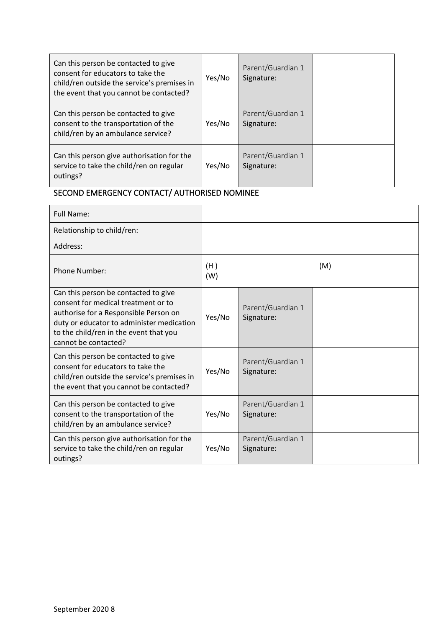| Can this person be contacted to give<br>consent for educators to take the<br>child/ren outside the service's premises in<br>the event that you cannot be contacted? | Yes/No | Parent/Guardian 1<br>Signature: |  |
|---------------------------------------------------------------------------------------------------------------------------------------------------------------------|--------|---------------------------------|--|
| Can this person be contacted to give<br>consent to the transportation of the<br>child/ren by an ambulance service?                                                  | Yes/No | Parent/Guardian 1<br>Signature: |  |
| Can this person give authorisation for the<br>service to take the child/ren on regular<br>outings?                                                                  | Yes/No | Parent/Guardian 1<br>Signature: |  |

# SECOND EMERGENCY CONTACT/ AUTHORISED NOMINEE

| <b>Full Name:</b>                                                                                                                                                                                                                   |            |                                 |     |
|-------------------------------------------------------------------------------------------------------------------------------------------------------------------------------------------------------------------------------------|------------|---------------------------------|-----|
| Relationship to child/ren:                                                                                                                                                                                                          |            |                                 |     |
| Address:                                                                                                                                                                                                                            |            |                                 |     |
| Phone Number:                                                                                                                                                                                                                       | (H)<br>(W) |                                 | (M) |
| Can this person be contacted to give<br>consent for medical treatment or to<br>authorise for a Responsible Person on<br>duty or educator to administer medication<br>to the child/ren in the event that you<br>cannot be contacted? | Yes/No     | Parent/Guardian 1<br>Signature: |     |
| Can this person be contacted to give<br>consent for educators to take the<br>child/ren outside the service's premises in<br>the event that you cannot be contacted?                                                                 | Yes/No     | Parent/Guardian 1<br>Signature: |     |
| Can this person be contacted to give<br>consent to the transportation of the<br>child/ren by an ambulance service?                                                                                                                  | Yes/No     | Parent/Guardian 1<br>Signature: |     |
| Can this person give authorisation for the<br>service to take the child/ren on regular<br>outings?                                                                                                                                  | Yes/No     | Parent/Guardian 1<br>Signature: |     |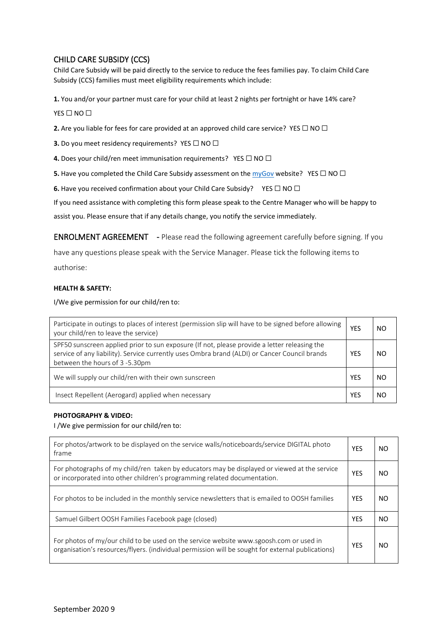## CHILD CARE SUBSIDY (CCS)

Child Care Subsidy will be paid directly to the service to reduce the fees families pay. To claim Child Care Subsidy (CCS) families must meet eligibility requirements which include:

**1.** You and/or your partner must care for your child at least 2 nights per fortnight or have 14% care?

YES □ NO □

**2.** Are you liable for fees for care provided at an approved child care service? YES □ NO □

**3.** Do you meet residency requirements? YES □ NO □

**4.** Does your child/ren meet immunisation requirements? YES □ NO □

**5.** Have you completed the Child Care Subsidy assessment on the  $\frac{m\sqrt{G\alpha V}}{W}$  website? YES □ NO □

**6.** Have you received confirmation about your Child Care Subsidy? YES □ NO □

If you need assistance with completing this form please speak to the Centre Manager who will be happy to

assist you. Please ensure that if any details change, you notify the service immediately.

ENROLMENT AGREEMENT - Please read the following agreement carefully before signing. If you

have any questions please speak with the Service Manager. Please tick the following items to authorise:

#### **HEALTH & SAFETY:**

I/We give permission for our child/ren to:

| Participate in outings to places of interest (permission slip will have to be signed before allowing<br>your child/ren to leave the service)                                                                                   |     | NO  |  |
|--------------------------------------------------------------------------------------------------------------------------------------------------------------------------------------------------------------------------------|-----|-----|--|
| SPF50 sunscreen applied prior to sun exposure (If not, please provide a letter releasing the<br>service of any liability). Service currently uses Ombra brand (ALDI) or Cancer Council brands<br>between the hours of 3-5.30pm | YES | NO. |  |
| We will supply our child/ren with their own sunscreen                                                                                                                                                                          | YES | NC  |  |
| Insect Repellent (Aerogard) applied when necessary                                                                                                                                                                             |     |     |  |

### **PHOTOGRAPHY & VIDEO:**

I /We give permission for our child/ren to:

| For photos/artwork to be displayed on the service walls/noticeboards/service DIGITAL photo<br>frame                                                                                         | <b>YES</b> | NO. |
|---------------------------------------------------------------------------------------------------------------------------------------------------------------------------------------------|------------|-----|
| For photographs of my child/ren taken by educators may be displayed or viewed at the service<br>or incorporated into other children's programming related documentation.                    | <b>YES</b> | NO. |
| For photos to be included in the monthly service newsletters that is emailed to OOSH families                                                                                               | <b>YES</b> | NO. |
| Samuel Gilbert OOSH Families Facebook page (closed)                                                                                                                                         |            |     |
| For photos of my/our child to be used on the service website www.sgoosh.com or used in<br>organisation's resources/flyers. (individual permission will be sought for external publications) | <b>YES</b> | NO. |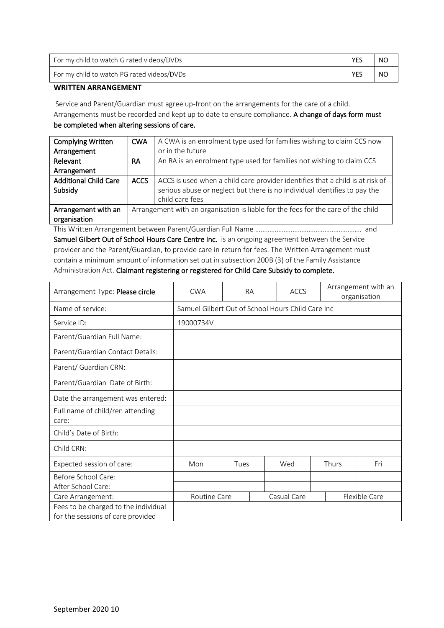| For my child to watch G rated videos/DVDs  | <b>YES</b> | NO. |
|--------------------------------------------|------------|-----|
| For my child to watch PG rated videos/DVDs | <b>YES</b> | NO  |

### **WRITTEN ARRANGEMENT**

Service and Parent/Guardian must agree up-front on the arrangements for the care of a child. Arrangements must be recorded and kept up to date to ensure compliance. A change of days form must be completed when altering sessions of care.

| <b>Complying Written</b>     | <b>CWA</b>  | A CWA is an enrolment type used for families wishing to claim CCS now             |
|------------------------------|-------------|-----------------------------------------------------------------------------------|
| Arrangement                  |             | or in the future                                                                  |
| Relevant                     | <b>RA</b>   | An RA is an enrolment type used for families not wishing to claim CCS             |
| Arrangement                  |             |                                                                                   |
| <b>Additional Child Care</b> | <b>ACCS</b> | ACCS is used when a child care provider identifies that a child is at risk of     |
| Subsidy                      |             | serious abuse or neglect but there is no individual identifies to pay the         |
|                              |             | child care fees                                                                   |
| Arrangement with an          |             | Arrangement with an organisation is liable for the fees for the care of the child |
| organisation                 |             |                                                                                   |
|                              |             |                                                                                   |

This Written Arrangement between Parent/Guardian Full Name …………………………………………………… and Samuel Gilbert Out of School Hours Care Centre Inc. is an ongoing agreement between the Service provider and the Parent/Guardian, to provide care in return for fees. The Written Arrangement must contain a minimum amount of information set out in subsection 200B (3) of the Family Assistance Administration Act. Claimant registering or registered for Child Care Subsidy to complete.

| Arrangement Type: Please circle                                           | Arrangement with an<br><b>CWA</b><br><b>RA</b><br><b>ACCS</b><br>organisation |      |  |     |       |  |     |
|---------------------------------------------------------------------------|-------------------------------------------------------------------------------|------|--|-----|-------|--|-----|
| Name of service:                                                          | Samuel Gilbert Out of School Hours Child Care Inc                             |      |  |     |       |  |     |
| Service ID:                                                               | 19000734V                                                                     |      |  |     |       |  |     |
| Parent/Guardian Full Name:                                                |                                                                               |      |  |     |       |  |     |
| Parent/Guardian Contact Details:                                          |                                                                               |      |  |     |       |  |     |
| Parent/ Guardian CRN:                                                     |                                                                               |      |  |     |       |  |     |
| Parent/Guardian Date of Birth:                                            |                                                                               |      |  |     |       |  |     |
| Date the arrangement was entered:                                         |                                                                               |      |  |     |       |  |     |
| Full name of child/ren attending<br>care:                                 |                                                                               |      |  |     |       |  |     |
| Child's Date of Birth:                                                    |                                                                               |      |  |     |       |  |     |
| Child CRN:                                                                |                                                                               |      |  |     |       |  |     |
| Expected session of care:                                                 | Mon                                                                           | Tues |  | Wed | Thurs |  | Fri |
| Before School Care:<br>After School Care:                                 |                                                                               |      |  |     |       |  |     |
| Care Arrangement:                                                         | Flexible Care<br>Casual Care<br>Routine Care                                  |      |  |     |       |  |     |
| Fees to be charged to the individual<br>for the sessions of care provided |                                                                               |      |  |     |       |  |     |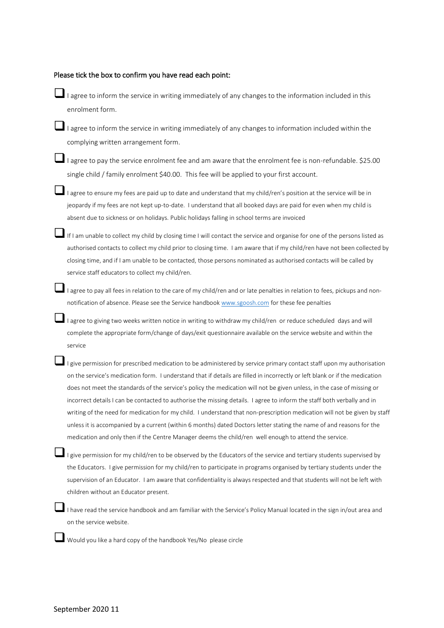| Please tick the box to confirm you have read each point: |  |
|----------------------------------------------------------|--|
|----------------------------------------------------------|--|

 $\Box$  I agree to inform the service in writing immediately of any changes to the information included in this enrolment form.

❑I agree to inform the service in writing immediately of any changes to information included within the complying written arrangement form.

■I agree to pay the service enrolment fee and am aware that the enrolment fee is non-refundable. \$25.00 single child / family enrolment \$40.00. This fee will be applied to your first account.

■I agree to ensure my fees are paid up to date and understand that my child/ren's position at the service will be in jeopardy if my fees are not kept up-to-date. I understand that all booked days are paid for even when my child is absent due to sickness or on holidays. Public holidays falling in school terms are invoiced

If I am unable to collect my child by closing time I will contact the service and organise for one of the persons listed as authorised contacts to collect my child prior to closing time. I am aware that if my child/ren have not been collected by closing time, and if I am unable to be contacted, those persons nominated as authorised contacts will be called by service staff educators to collect my child/ren.

❑I agree to pay all fees in relation to the care of my child/ren and or late penalties in relation to fees, pickups and nonnotification of absence. Please see the Service handbook [www.sgoosh.com](http://www.sgoosh.com/) for these fee penalties

❑I agree to giving two weeks written notice in writing to withdraw my child/ren or reduce scheduled days and will complete the appropriate form/change of days/exit questionnaire available on the service website and within the service

 $\blacksquare$  I give permission for prescribed medication to be administered by service primary contact staff upon my authorisation on the service's medication form. I understand that if details are filled in incorrectly or left blank or if the medication does not meet the standards of the service's policy the medication will not be given unless, in the case of missing or incorrect details I can be contacted to authorise the missing details. I agree to inform the staff both verbally and in writing of the need for medication for my child. I understand that non-prescription medication will not be given by staff unless it is accompanied by a current (within 6 months) dated Doctors letter stating the name of and reasons for the medication and only then if the Centre Manager deems the child/ren well enough to attend the service.

I give permission for my child/ren to be observed by the Educators of the service and tertiary students supervised by the Educators. I give permission for my child/ren to participate in programs organised by tertiary students under the supervision of an Educator. I am aware that confidentiality is always respected and that students will not be left with children without an Educator present.

I have read the service handbook and am familiar with the Service's Policy Manual located in the sign in/out area and on the service website.

❑Would you like a hard copy of the handbook Yes/No please circle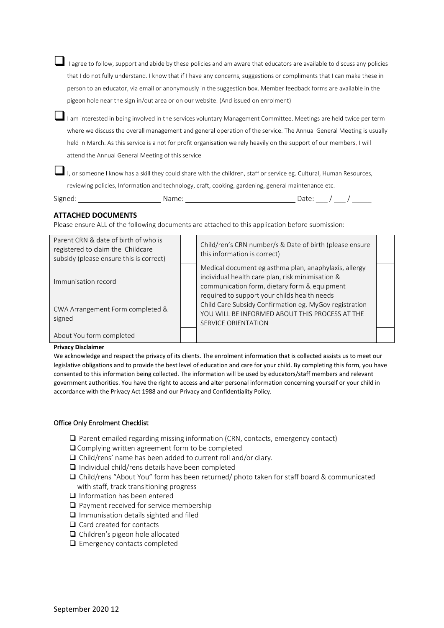❑ I agree to follow, support and abide by these policies and am aware that educators are available to discuss any policies that I do not fully understand. I know that if I have any concerns, suggestions or compliments that I can make these in person to an educator, via email or anonymously in the suggestion box. Member feedback forms are available in the pigeon hole near the sign in/out area or on our website. (And issued on enrolment)

I am interested in being involved in the services voluntary Management Committee. Meetings are held twice per term where we discuss the overall management and general operation of the service. The Annual General Meeting is usually held in March. As this service is a not for profit organisation we rely heavily on the support of our members. I will attend the Annual General Meeting of this service

Date:  $\_\,\_\,\_\,\_\,\_\,\_\,\_\,\_\,$ 

I, or someone I know has a skill they could share with the children, staff or service eg. Cultural, Human Resources, reviewing policies, Information and technology, craft, cooking, gardening, general maintenance etc.

### **ATTACHED DOCUMENTS**

Please ensure ALL of the following documents are attached to this application before submission:

| Parent CRN & date of birth of who is<br>registered to claim the Childcare<br>subsidy (please ensure this is correct) | Child/ren's CRN number/s & Date of birth (please ensure<br>this information is correct)                                                                                                                   |  |
|----------------------------------------------------------------------------------------------------------------------|-----------------------------------------------------------------------------------------------------------------------------------------------------------------------------------------------------------|--|
| Immunisation record                                                                                                  | Medical document eg asthma plan, anaphylaxis, allergy<br>individual health care plan, risk minimisation &<br>communication form, dietary form & equipment<br>required to support your childs health needs |  |
| CWA Arrangement Form completed &<br>signed                                                                           | Child Care Subsidy Confirmation eg. MyGov registration<br>YOU WILL BE INFORMED ABOUT THIS PROCESS AT THE<br><b>SERVICE ORIENTATION</b>                                                                    |  |
| About You form completed                                                                                             |                                                                                                                                                                                                           |  |

#### **Privacy Disclaimer**

We acknowledge and respect the privacy of its clients. The enrolment information that is collected assists us to meet our legislative obligations and to provide the best level of education and care for your child. By completing this form, you have consented to this information being collected. The information will be used by educators/staff members and relevant government authorities. You have the right to access and alter personal information concerning yourself or your child in accordance with the Privacy Act 1988 and our Privacy and Confidentiality Policy.

### Office Only Enrolment Checklist

- ❑ Parent emailed regarding missing information (CRN, contacts, emergency contact)
- ❑ Complying written agreement form to be completed
- ❑ Child/rens' name has been added to current roll and/or diary.
- ❑ Individual child/rens details have been completed
- ❑ Child/rens "About You" form has been returned/ photo taken for staff board & communicated with staff, track transitioning progress
- ❑ Information has been entered
- ❑ Payment received for service membership
- ❑ Immunisation details sighted and filed
- ❑ Card created for contacts
- ❑ Children's pigeon hole allocated
- ❑ Emergency contacts completed